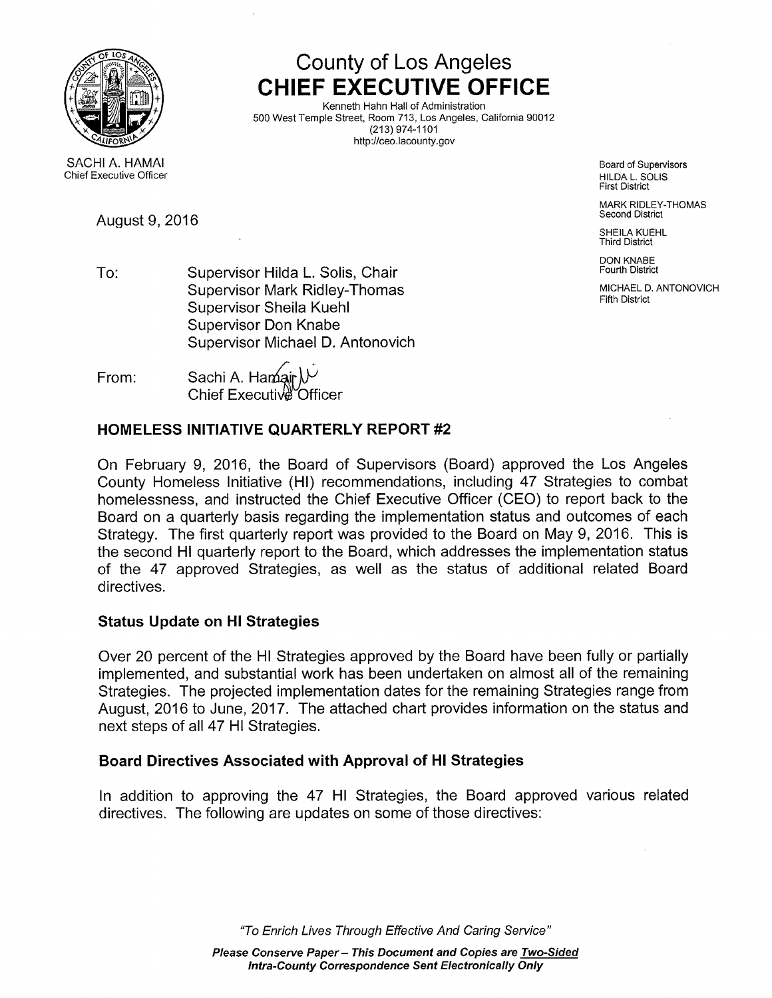

# County of Los Angeles CHIEF EXECUTIVE OFFICE

Kenneth Hahn Hall of Administration 500 West Temple Street, Room 713, Los Angeles, California 90012 (213) 974-1101 http://ceo.lacounty.gov

First District

MARK RIDLEY-THOMAS<br>Second District

SHEILA KUEHL Third District

DON KNABE<br>Fourth District

To: Supervisor Hilda L. Solis, Chair Supervisor Mark Ridley-Thomas MICHAEL D. ANTONOVICH MICHAEL D. ANTONOVICH Supervisor Sheila Kuehi<br>Supervisor Sheila Kuehi Supervisor Don Knabe Supervisor Michael D. Antonovich

From: Sachi A. Hamair  $\mathcal{V}$ Chief Executive Officer

## HOMELESS INITIATIVE QUARTERLY REPORT #2

On February 9, 2016, the Board of Supervisors (Board) approved the Los Angeles County Homeless Initiative (HI) recommendations, including 47 Strategies to combat homelessness, and instructed the Chief Executive Officer (CEO) to report back to the Board on a quarterly basis regarding the implementation status and outcomes of each Strategy. The first quarterly report was provided to the Board on May 9, 2016. This is the second HI quarterly report to the Board, which addresses the implementation status of the 47 approved Strategies, as well as the status of additional related Board directives.

## Status Update on HI Strategies

Over 20 percent of the HI Strategies approved by the Board have been fully or partially implemented, and substantial work has been undertaken on almost all of the remaining Strategies. The projected implementation dates for the remaining Strategies range from August, 2016 to June, 2017. The attached chart provides information on the status and next steps of all 47 HI Strategies.

## Board Directives Associated with Approval of HI Strategies

In addition to approving the 47 HI Strategies, the Board approved various related directives. The following are updates on some of those directives:

"To Enrich Lives Through Effective And Caring Service"

SACHI A. HAMAI Board of Supervisors and Supervisors and Supervisors and Supervisors and Supervisors and Supervisors Chief Executive Officer National Chief Executive Officer National Chief Executive Officer National Chief Executive Officer National Chief Executive Officer National Chief Executive Officer National Chief Executive Officer

August 9, 2016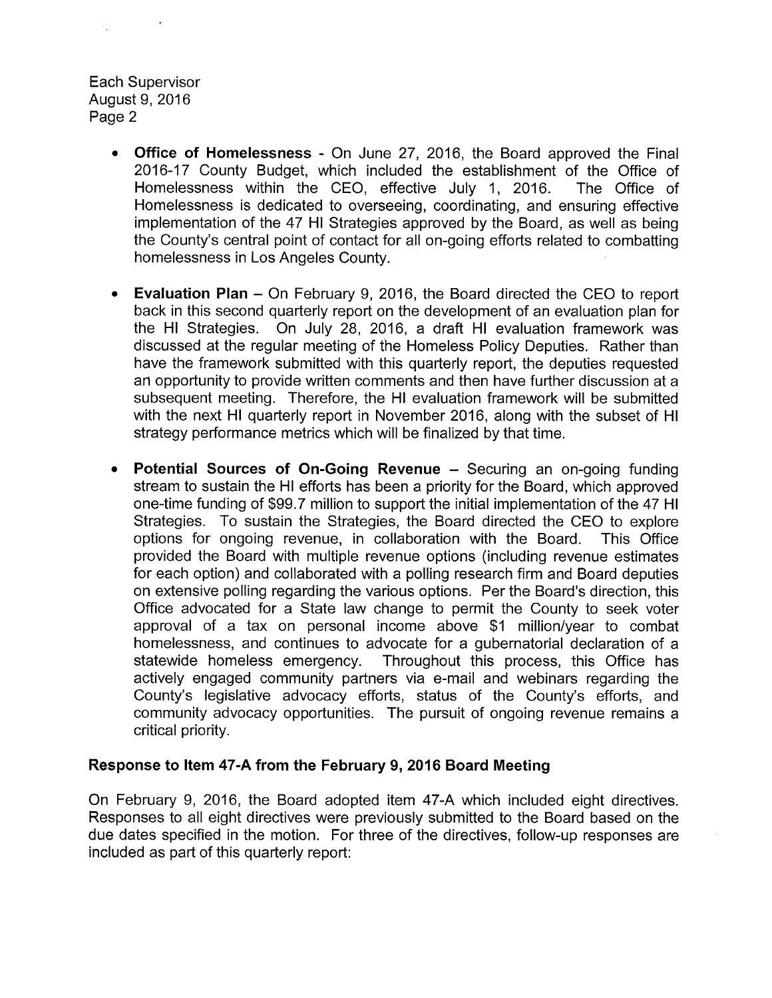Each Supervisor August 9,2016 Page 2

- **Office of Homelessness -** On June 27, 2016, the Board approved the Final 2016-17 County Budget, which included the establishment of the Office of Homelessness within the CEO, effective July 1, 2016. The Office of Homelessness is dedicated to overseeing, coordinating, and ensuring effective implementation of the 47 HI Strategies approved by the Board, as well as being the County's central point of contact for all on-going efforts related to combatting homelessness in Los Angeles County.
- Evaluation Plan On February 9, 2016, the Board directed the CEO to report back in this second quarterly report on the development of an evaluation plan for the HI Strategies. On July 28, 2016, a draft HI evaluation framework was discussed at the regular meeting of the Homeless Policy Deputies. Rather than have the framework submitted with this quarterly report, the deputies requested an opportunity to provide written comments and then have further discussion at a subsequent meeting. Therefore, the HI evaluation framework will be submitted with the next HI quarterly report in November 2016, along with the subset of HI strategy performance metrics which will be finalized by that time.
- Potential Sources of On-Going Revenue Securing an on-going funding stream to sustain the HI efforts has been a priority for the Board, which approved one-time funding of \$99.7 million to support the initial implementation of the 47 HI Strategies. To sustain the Strategies, the Board directed the CEO to explore options for ongoing revenue, in collaboration with the Board. This Office provided the Board with multiple revenue options (including revenue estimates for each option) and collaborated with a polling research firm and Board deputies on extensive polling regarding the various options. Per the Board's direction, this Office advocated for a State law change to permit the County to seek voter approval of a tax on personal income above \$1 million/year to combat homelessness, and continues to advocate for a gubernatorial declaration of a statewide homeless emergency. Throughout this process, this Office has actively engaged community partners via e-mail and webinars regarding the County's legislative advocacy efforts, status of the County's efforts, and community advocacy opportunities. The pursuit of ongoing revenue remains a critical priority.

#### Response to Item 47-A from the February 9, 2016 Board Meeting

On February 9, 2016, the Board adopted item 47-A which included eight directives. Responses to all eight directives were previously submitted to the Board based on the due dates specified in the motion. For three of the directives, follow-up responses are included as part of this quarterly report: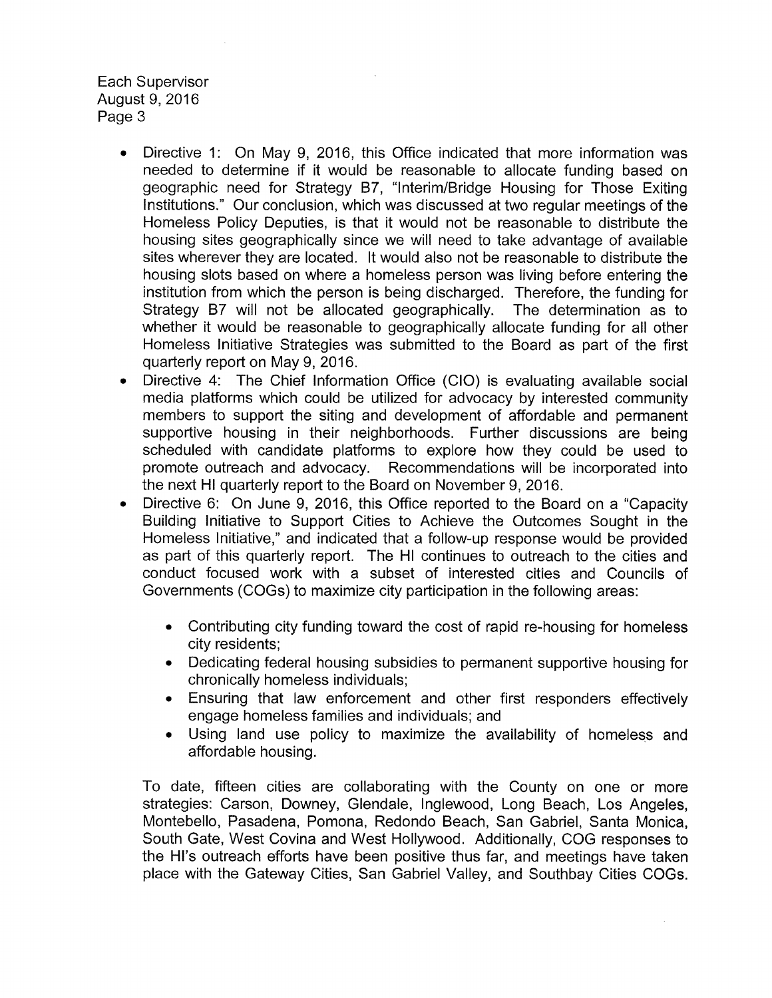Each Supervisor August 9, 2016 Page 3

- Directive 1: On May 9, 2016, this Office indicated that more information was needed to determine if it would be reasonable to allocate funding based on geographic need for Strategy B7, "Interim/Bridge Housing for Those Exiting Institutions." Our conclusion, which was discussed at two regular meetings of the Homeless Policy Deputies, is that it would not be reasonable to distribute the housing sites geographically since we will need to take advantage of available sites wherever they are located. It would also not be reasonable to distribute the housing slots based on where a homeless person was living before entering the institution from which the person is being discharged. Therefore, the funding for Strategy B7 will not be allocated geographically. The determination as to whether it would be reasonable to geographically allocate funding for all other Homeless Initiative Strategies was submitted to the Board as part of the first quarterly report on May 9, 2016.
- Directive 4: The Chief Information Office (CIO) is evaluating available social media platforms which could be utilized for advocacy by interested community members to support the siting and development of affordable and permanent supportive housing in their neighborhoods. Further discussions are being scheduled with candidate platforms to explore how they could be used to promote outreach and advocacy. Recommendations will be incorporated into the next HI quarterly report to the Board on November 9, 2016.
- Directive 6: On June 9, 2016, this Office reported to the Board on a "Capacity Building Initiative to Support Cities to Achieve the Outcomes Sought in the Homeless Initiative," and indicated that a follow-up response would be provided as part of this quarterly report. The HI continues to outreach to the cities and conduct focused work with a subset of interested cities and Councils of Governments (COGs) to maximize city participation in the following areas:
	- Contributing city funding toward the cost of rapid re-housing for homeless city residents;
	- Dedicating federal housing subsidies to permanent supportive housing for chronically homeless individuals;
	- Ensuring that law enforcement and other first responders effectively engage homeless families and individuals; and
	- Using land use policy to maximize the availability of homeless and affordable housing.

To date, fifteen cities are collaborating with the County on one or more strategies: Carson, Downey, Glendale, Inglewood, Long Beach, Los Angeles, Montebello, Pasadena, Pomona, Redondo Beach, San Gabriel, Santa Monica, South Gate, West Covina and West Hollywood. Additionally, COG responses to the HI's outreach efforts have been positive thus far, and meetings have taken place with the Gateway Cities, San Gabriel Valley, and Southbay Cities COGs.